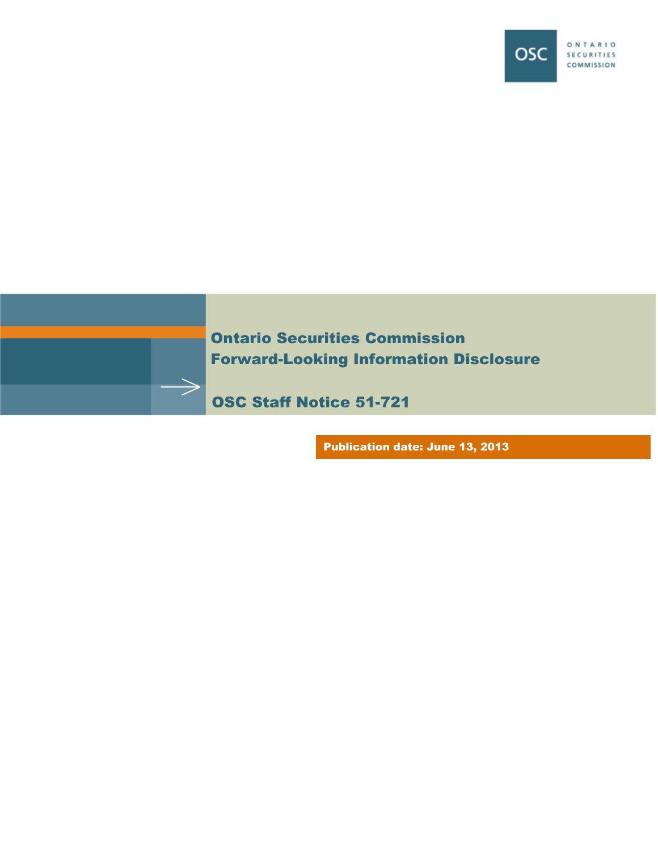



Ontario Securities Commission Forward-Looking Information Disclosure

OSC Staff Notice 51-721

Publication date: June 13, 2013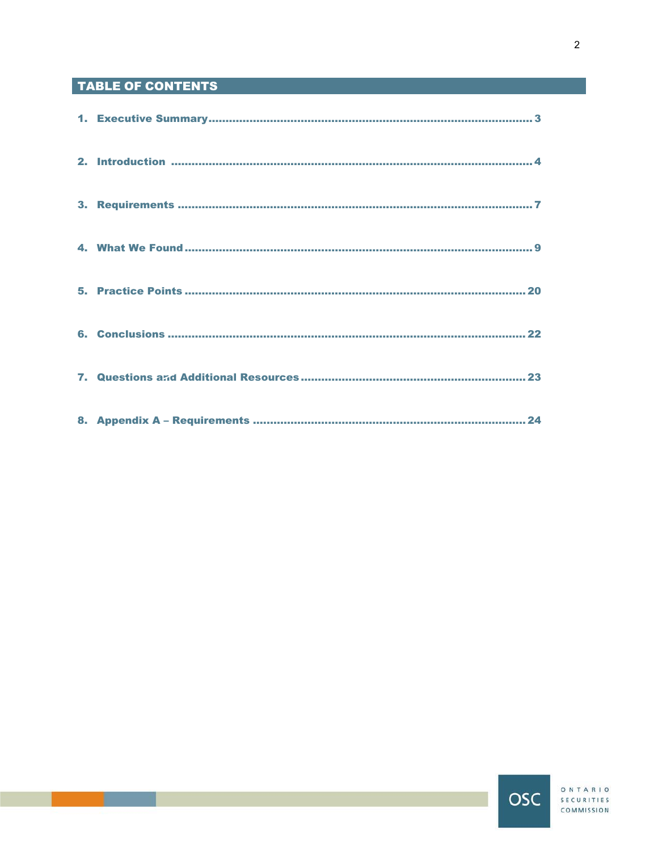# **TABLE OF CONTENTS**

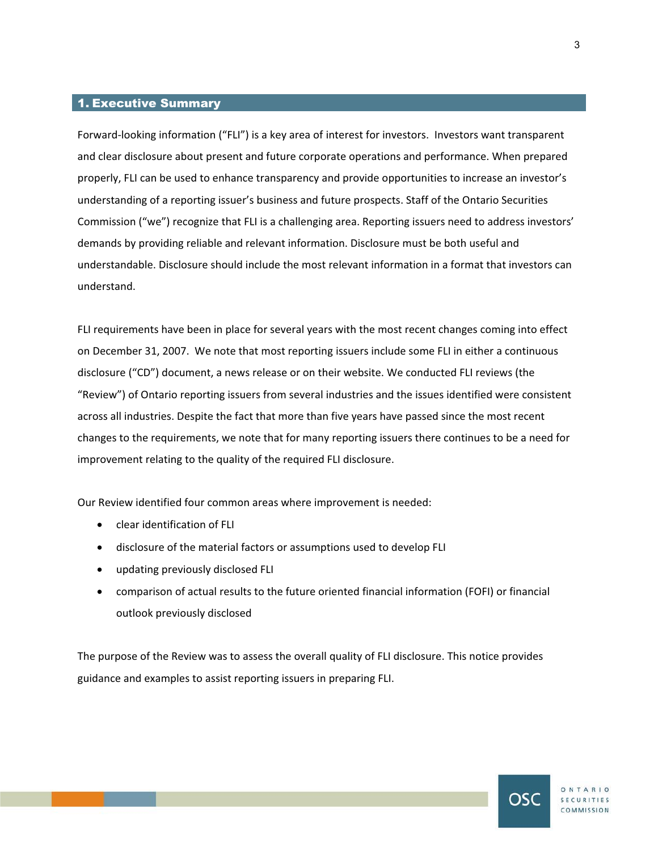## 1. Executive Summary

Forward-looking information ("FLI") is a key area of interest for investors. Investors want transparent and clear disclosure about present and future corporate operations and performance. When prepared properly, FLI can be used to enhance transparency and provide opportunities to increase an investor's understanding of a reporting issuer's business and future prospects. Staff of the Ontario Securities Commission ("we") recognize that FLI is a challenging area. Reporting issuers need to address investors' demands by providing reliable and relevant information. Disclosure must be both useful and understandable. Disclosure should include the most relevant information in a format that investors can understand.

FLI requirements have been in place for several years with the most recent changes coming into effect on December 31, 2007. We note that most reporting issuers include some FLI in either a continuous disclosure ("CD") document, a news release or on their website. We conducted FLI reviews (the "Review") of Ontario reporting issuers from several industries and the issues identified were consistent across all industries. Despite the fact that more than five years have passed since the most recent changes to the requirements, we note that for many reporting issuers there continues to be a need for improvement relating to the quality of the required FLI disclosure.

Our Review identified four common areas where improvement is needed:

- clear identification of FLI
- disclosure of the material factors or assumptions used to develop FLI
- updating previously disclosed FLI
- comparison of actual results to the future oriented financial information (FOFI) or financial outlook previously disclosed

The purpose of the Review was to assess the overall quality of FLI disclosure. This notice provides guidance and examples to assist reporting issuers in preparing FLI.

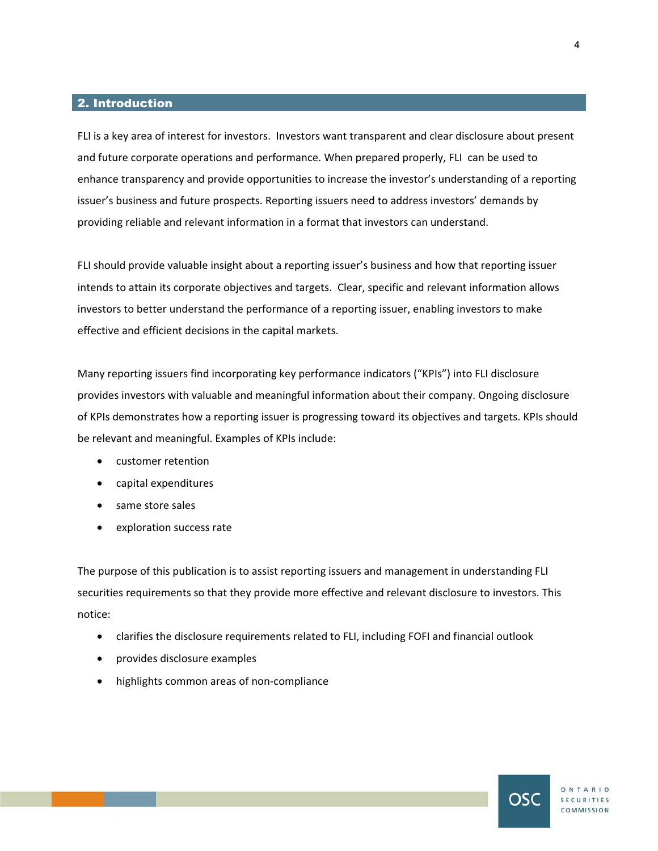## 2. Introduction

FLI is a key area of interest for investors. Investors want transparent and clear disclosure about present and future corporate operations and performance. When prepared properly, FLI can be used to enhance transparency and provide opportunities to increase the investor's understanding of a reporting issuer's business and future prospects. Reporting issuers need to address investors' demands by providing reliable and relevant information in a format that investors can understand.

FLI should provide valuable insight about a reporting issuer's business and how that reporting issuer intends to attain its corporate objectives and targets. Clear, specific and relevant information allows investors to better understand the performance of a reporting issuer, enabling investors to make effective and efficient decisions in the capital markets.

Many reporting issuers find incorporating key performance indicators ("KPIs") into FLI disclosure provides investors with valuable and meaningful information about their company. Ongoing disclosure of KPIs demonstrates how a reporting issuer is progressing toward its objectives and targets. KPIs should be relevant and meaningful. Examples of KPIs include:

- customer retention
- capital expenditures
- same store sales
- exploration success rate

The purpose of this publication is to assist reporting issuers and management in understanding FLI securities requirements so that they provide more effective and relevant disclosure to investors. This notice:

- clarifies the disclosure requirements related to FLI, including FOFI and financial outlook
- provides disclosure examples
- highlights common areas of non-compliance

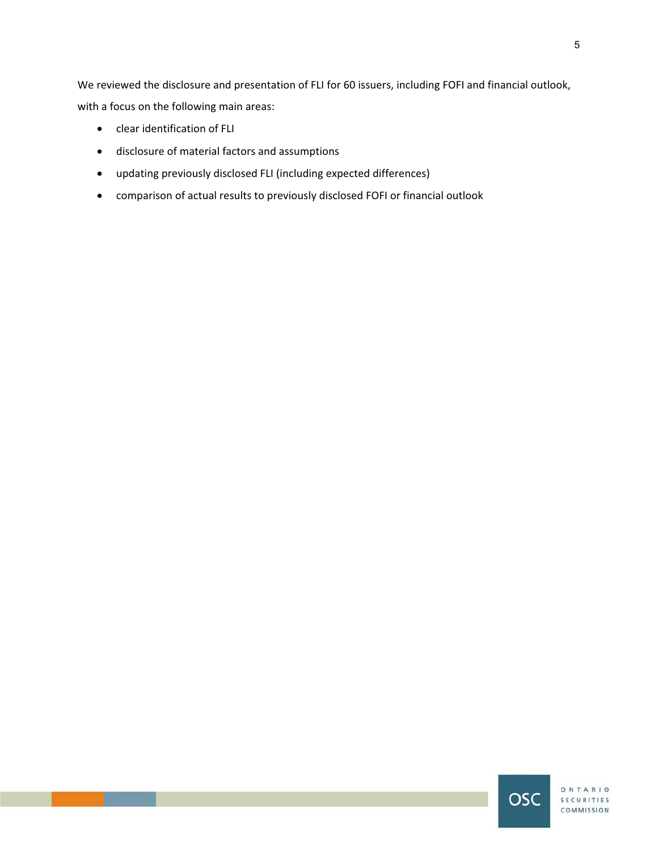We reviewed the disclosure and presentation of FLI for 60 issuers, including FOFI and financial outlook, with a focus on the following main areas:

- clear identification of FLI
- disclosure of material factors and assumptions
- updating previously disclosed FLI (including expected differences)
- comparison of actual results to previously disclosed FOFI or financial outlook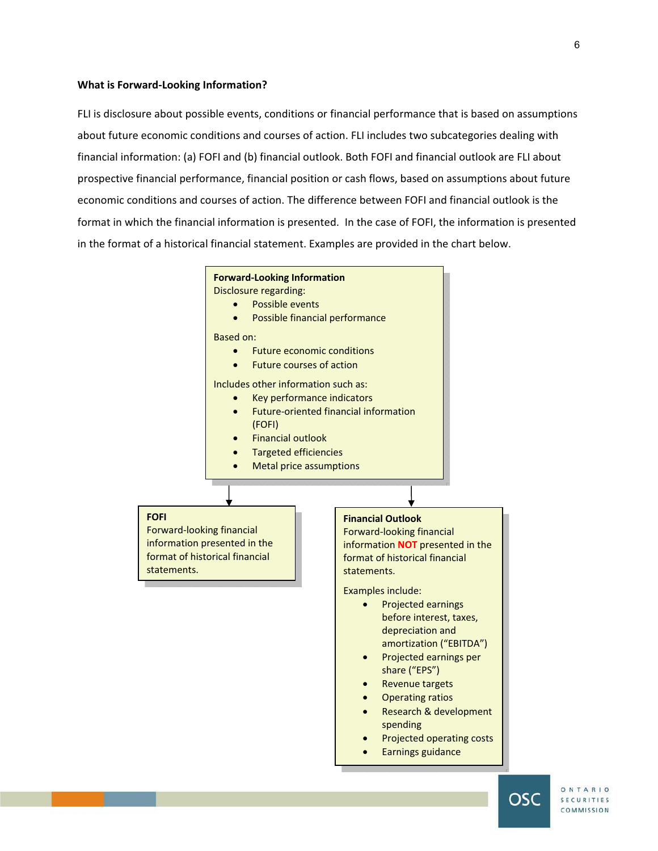#### **What is Forward-Looking Information?**

FLI is disclosure about possible events, conditions or financial performance that is based on assumptions about future economic conditions and courses of action. FLI includes two subcategories dealing with financial information: (a) FOFI and (b) financial outlook. Both FOFI and financial outlook are FLI about prospective financial performance, financial position or cash flows, based on assumptions about future economic conditions and courses of action. The difference between FOFI and financial outlook is the format in which the financial information is presented. In the case of FOFI, the information is presented in the format of a historical financial statement. Examples are provided in the chart below.





SECURITIES COMMISSION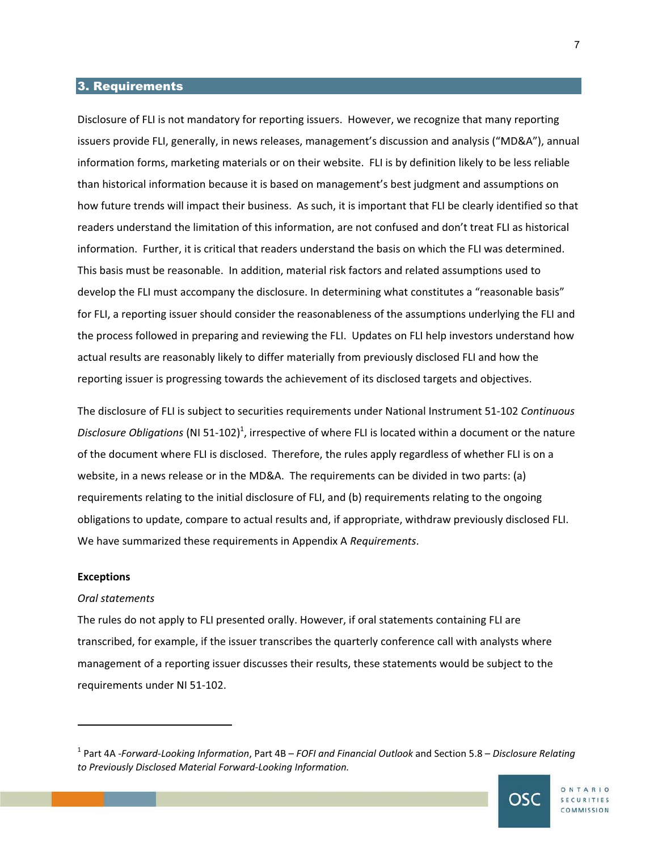## 3. Requirements

Disclosure of FLI is not mandatory for reporting issuers. However, we recognize that many reporting issuers provide FLI, generally, in news releases, management's discussion and analysis ("MD&A"), annual information forms, marketing materials or on their website. FLI is by definition likely to be less reliable than historical information because it is based on management's best judgment and assumptions on how future trends will impact their business. As such, it is important that FLI be clearly identified so that readers understand the limitation of this information, are not confused and don't treat FLI as historical information. Further, it is critical that readers understand the basis on which the FLI was determined. This basis must be reasonable. In addition, material risk factors and related assumptions used to develop the FLI must accompany the disclosure. In determining what constitutes a "reasonable basis" for FLI, a reporting issuer should consider the reasonableness of the assumptions underlying the FLI and the process followed in preparing and reviewing the FLI. Updates on FLI help investors understand how actual results are reasonably likely to differ materially from previously disclosed FLI and how the reporting issuer is progressing towards the achievement of its disclosed targets and objectives.

The disclosure of FLI is subject to securities requirements under National Instrument 51-102 *Continuous*  Disclosure Obligations (NI 51-102)<sup>1</sup>, irrespective of where FLI is located within a document or the nature of the document where FLI is disclosed. Therefore, the rules apply regardless of whether FLI is on a website, in a news release or in the MD&A. The requirements can be divided in two parts: (a) requirements relating to the initial disclosure of FLI, and (b) requirements relating to the ongoing obligations to update, compare to actual results and, if appropriate, withdraw previously disclosed FLI. We have summarized these requirements in Appendix A *Requirements*.

#### **Exceptions**

 $\overline{\phantom{a}}$ 

#### *Oral statements*

The rules do not apply to FLI presented orally. However, if oral statements containing FLI are transcribed, for example, if the issuer transcribes the quarterly conference call with analysts where management of a reporting issuer discusses their results, these statements would be subject to the requirements under NI 51-102.

<sup>1</sup> Part 4A -*Forward-Looking Information*, Part 4B – *FOFI and Financial Outlook* and Section 5.8 – *Disclosure Relating to Previously Disclosed Material Forward-Looking Information.*

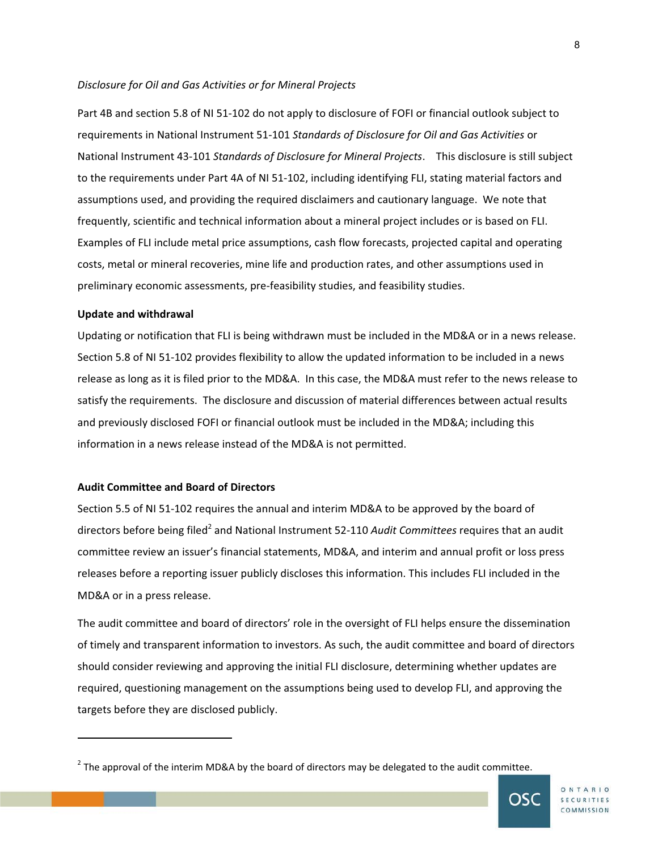#### *Disclosure for Oil and Gas Activities or for Mineral Projects*

Part 4B and section 5.8 of NI 51-102 do not apply to disclosure of FOFI or financial outlook subject to requirements in National Instrument 51-101 *Standards of Disclosure for Oil and Gas Activities* or National Instrument 43-101 *Standards of Disclosure for Mineral Projects*. This disclosure is still subject to the requirements under Part 4A of NI 51-102, including identifying FLI, stating material factors and assumptions used, and providing the required disclaimers and cautionary language. We note that frequently, scientific and technical information about a mineral project includes or is based on FLI. Examples of FLI include metal price assumptions, cash flow forecasts, projected capital and operating costs, metal or mineral recoveries, mine life and production rates, and other assumptions used in preliminary economic assessments, pre-feasibility studies, and feasibility studies.

## **Update and withdrawal**

-

Updating or notification that FLI is being withdrawn must be included in the MD&A or in a news release. Section 5.8 of NI 51-102 provides flexibility to allow the updated information to be included in a news release as long as it is filed prior to the MD&A. In this case, the MD&A must refer to the news release to satisfy the requirements. The disclosure and discussion of material differences between actual results and previously disclosed FOFI or financial outlook must be included in the MD&A; including this information in a news release instead of the MD&A is not permitted.

## **Audit Committee and Board of Directors**

Section 5.5 of NI 51-102 requires the annual and interim MD&A to be approved by the board of directors before being filed<sup>2</sup> and National Instrument 52-110 *Audit Committees* requires that an audit committee review an issuer's financial statements, MD&A, and interim and annual profit or loss press releases before a reporting issuer publicly discloses this information. This includes FLI included in the MD&A or in a press release.

The audit committee and board of directors' role in the oversight of FLI helps ensure the dissemination of timely and transparent information to investors. As such, the audit committee and board of directors should consider reviewing and approving the initial FLI disclosure, determining whether updates are required, questioning management on the assumptions being used to develop FLI, and approving the targets before they are disclosed publicly.

 $^{2}$  The approval of the interim MD&A by the board of directors may be delegated to the audit committee.

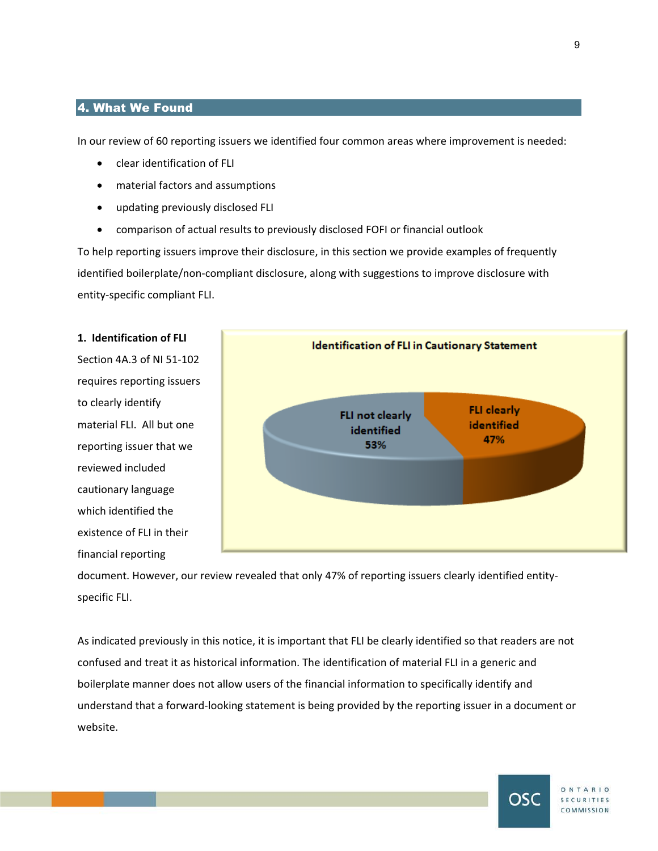## 4. What We Found

In our review of 60 reporting issuers we identified four common areas where improvement is needed:

- clear identification of FLI
- material factors and assumptions
- updating previously disclosed FLI
- comparison of actual results to previously disclosed FOFI or financial outlook

To help reporting issuers improve their disclosure, in this section we provide examples of frequently identified boilerplate/non-compliant disclosure, along with suggestions to improve disclosure with entity-specific compliant FLI.





document. However, our review revealed that only 47% of reporting issuers clearly identified entityspecific FLI.

As indicated previously in this notice, it is important that FLI be clearly identified so that readers are not confused and treat it as historical information. The identification of material FLI in a generic and boilerplate manner does not allow users of the financial information to specifically identify and understand that a forward-looking statement is being provided by the reporting issuer in a document or website.

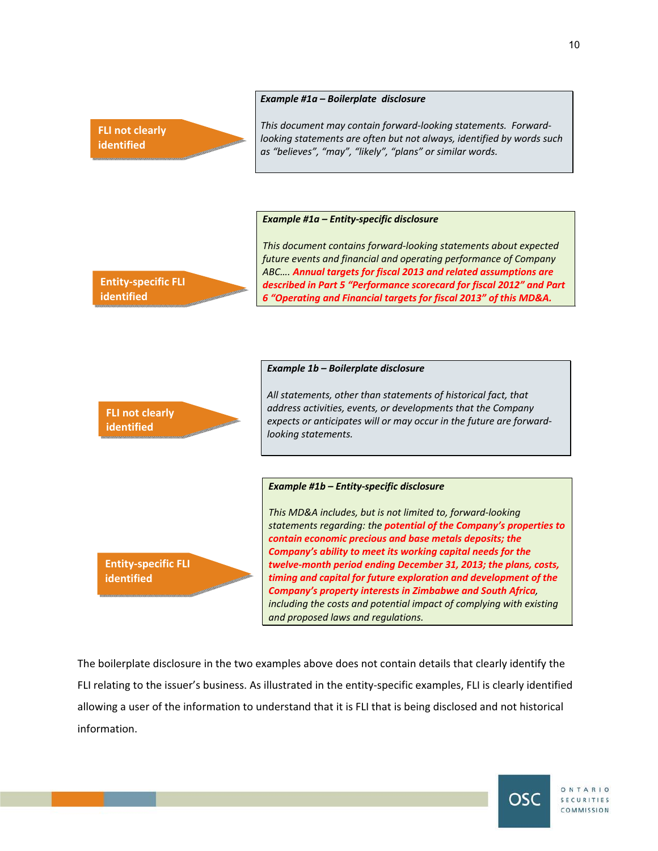#### *Example #1a – Boilerplate disclosure*



**Entity-specific FLI** 

*This document may contain forward-looking statements. Forwardlooking statements are often but not always, identified by words such as "believes", "may", "likely", "plans" or similar words.* 

*This document contains forward-looking statements about expected future events and financial and operating performance of Company ABC…. Annual targets for fiscal 2013 and related assumptions are described in Part 5 "Performance scorecard for fiscal 2012" and Part* 

#### *Example #1a – Entity-specific disclosure*



The boilerplate disclosure in the two examples above does not contain details that clearly identify the FLI relating to the issuer's business. As illustrated in the entity-specific examples, FLI is clearly identified allowing a user of the information to understand that it is FLI that is being disclosed and not historical information.



10

ONTARIO **SECURITIES** COMMISSION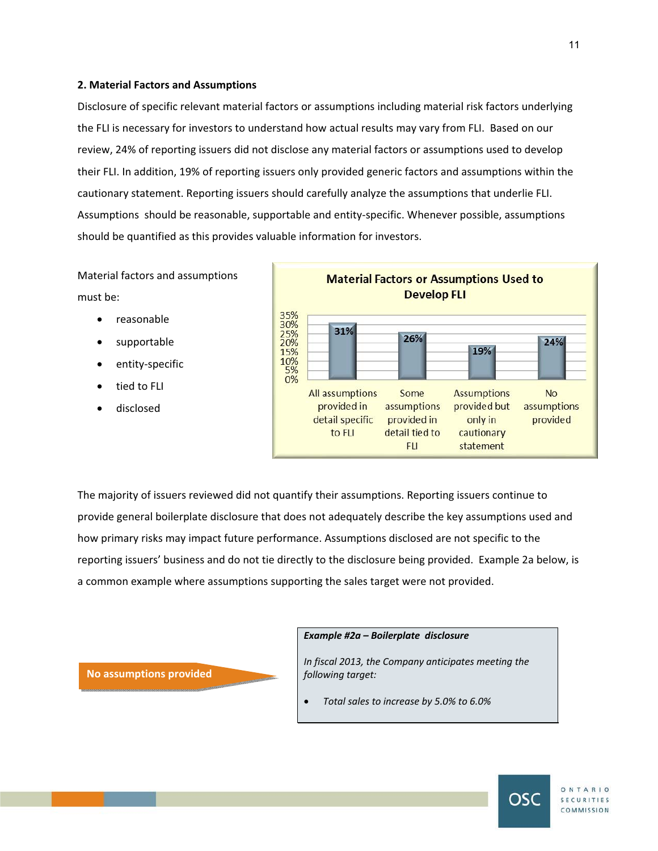#### **2. Material Factors and Assumptions**

Disclosure of specific relevant material factors or assumptions including material risk factors underlying the FLI is necessary for investors to understand how actual results may vary from FLI. Based on our review, 24% of reporting issuers did not disclose any material factors or assumptions used to develop their FLI. In addition, 19% of reporting issuers only provided generic factors and assumptions within the cautionary statement. Reporting issuers should carefully analyze the assumptions that underlie FLI. Assumptions should be reasonable, supportable and entity-specific. Whenever possible, assumptions should be quantified as this provides valuable information for investors.

Material factors and assumptions must be:

- reasonable
- supportable
- entity-specific
- tied to FLI
- disclosed



The majority of issuers reviewed did not quantify their assumptions. Reporting issuers continue to provide general boilerplate disclosure that does not adequately describe the key assumptions used and how primary risks may impact future performance. Assumptions disclosed are not specific to the reporting issuers' business and do not tie directly to the disclosure being provided. Example 2a below, is a common example where assumptions supporting the sales target were not provided.

**No assumptions provided**

#### *Example #2a – Boilerplate disclosure*

*In fiscal 2013, the Company anticipates meeting the following target:* 

x *Total sales to increase by 5.0% to 6.0%* 

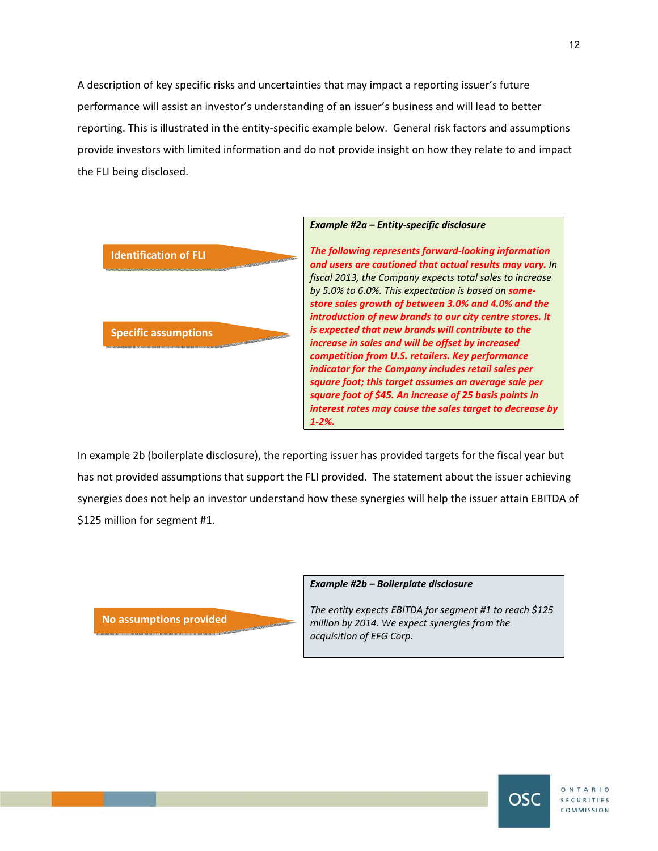A description of key specific risks and uncertainties that may impact a reporting issuer's future performance will assist an investor's understanding of an issuer's business and will lead to better reporting. This is illustrated in the entity-specific example below. General risk factors and assumptions provide investors with limited information and do not provide insight on how they relate to and impact the FLI being disclosed.



In example 2b (boilerplate disclosure), the reporting issuer has provided targets for the fiscal year but has not provided assumptions that support the FLI provided. The statement about the issuer achieving synergies does not help an investor understand how these synergies will help the issuer attain EBITDA of \$125 million for segment #1.

**No assumptions provided**

#### *Example #2b – Boilerplate disclosure*

*The entity expects EBITDA for segment #1 to reach \$125 million by 2014. We expect synergies from the acquisition of EFG Corp.* 

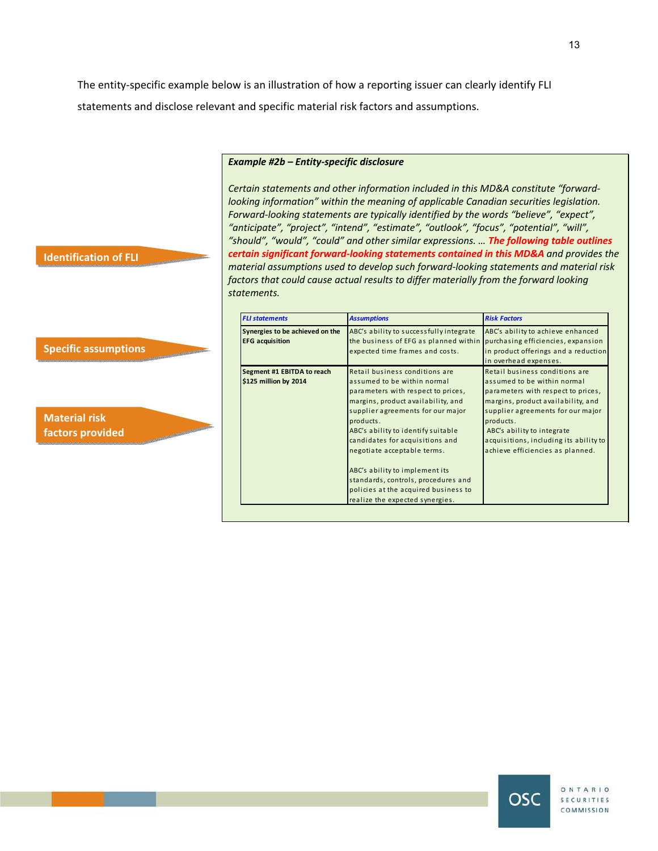The entity-specific example below is an illustration of how a reporting issuer can clearly identify FLI statements and disclose relevant and specific material risk factors and assumptions.

#### *Example #2b – Entity-specific disclosure*

*Certain statements and other information included in this MD&A constitute "forwardlooking information" within the meaning of applicable Canadian securities legislation. Forward-looking statements are typically identified by the words "believe", "expect", "anticipate", "project", "intend", "estimate", "outlook", "focus", "potential", "will", "should", "would", "could" and other similar expressions. … The following table outlines certain significant forward-looking statements contained in this MD&A and provides the material assumptions used to develop such forward-looking statements and material risk factors that could cause actual results to differ materially from the forward looking statements.* 

| <b>FLI statements</b>                                     | <b>Assumptions</b>                                                                                                                                     | <b>Risk Factors</b>                                                                                |  |  |
|-----------------------------------------------------------|--------------------------------------------------------------------------------------------------------------------------------------------------------|----------------------------------------------------------------------------------------------------|--|--|
| Synergies to be achieved on the<br><b>EFG</b> acquisition | ABC's ability to successfully integrate<br>the business of EFG as planned within purchasing efficiencies, expansion<br>expected time frames and costs. | ABC's ability to achieve enhanced<br>in product offerings and a reduction<br>in overhead expenses. |  |  |
| Segment #1 EBITDA to reach                                | Retail business conditions are                                                                                                                         | Retail business conditions are                                                                     |  |  |
| \$125 million by 2014                                     | assumed to be within normal                                                                                                                            | assumed to be within normal                                                                        |  |  |
|                                                           | parameters with respect to prices,                                                                                                                     | parameters with respect to prices,                                                                 |  |  |
|                                                           | margins, product availability, and                                                                                                                     | margins, product availability, and                                                                 |  |  |
|                                                           | supplier agreements for our major                                                                                                                      | supplier agreements for our major                                                                  |  |  |
|                                                           | products.                                                                                                                                              | products.                                                                                          |  |  |
|                                                           | ABC's ability to identify suitable                                                                                                                     | ABC's ability to integrate                                                                         |  |  |
|                                                           | candidates for acquisitions and                                                                                                                        | acquisitions, including its ability to                                                             |  |  |
|                                                           | negotiate acceptable terms.                                                                                                                            | achieve efficiencies as planned.                                                                   |  |  |
|                                                           | ABC's ability to implement its                                                                                                                         |                                                                                                    |  |  |
|                                                           | standards, controls, procedures and                                                                                                                    |                                                                                                    |  |  |
|                                                           | policies at the acquired business to                                                                                                                   |                                                                                                    |  |  |
|                                                           | realize the expected synergies.                                                                                                                        |                                                                                                    |  |  |

## **Identification of FLI**

# **Specific assumptions**

**Material risk factors provided**





OSC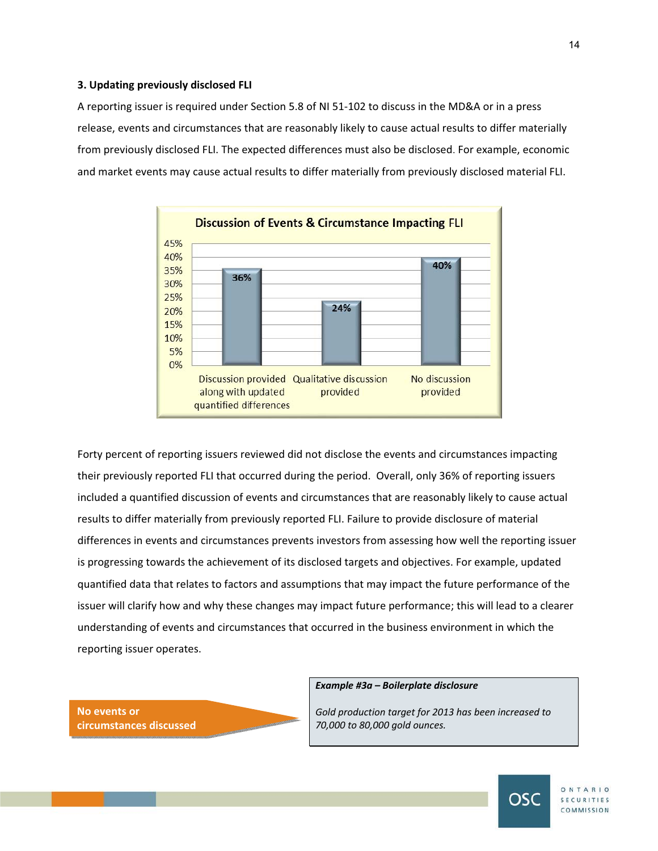#### **3. Updating previously disclosed FLI**

A reporting issuer is required under Section 5.8 of NI 51-102 to discuss in the MD&A or in a press release, events and circumstances that are reasonably likely to cause actual results to differ materially from previously disclosed FLI. The expected differences must also be disclosed. For example, economic and market events may cause actual results to differ materially from previously disclosed material FLI.



Forty percent of reporting issuers reviewed did not disclose the events and circumstances impacting their previously reported FLI that occurred during the period. Overall, only 36% of reporting issuers included a quantified discussion of events and circumstances that are reasonably likely to cause actual results to differ materially from previously reported FLI. Failure to provide disclosure of material differences in events and circumstances prevents investors from assessing how well the reporting issuer is progressing towards the achievement of its disclosed targets and objectives. For example, updated quantified data that relates to factors and assumptions that may impact the future performance of the issuer will clarify how and why these changes may impact future performance; this will lead to a clearer understanding of events and circumstances that occurred in the business environment in which the reporting issuer operates.



#### *Example #3a – Boilerplate disclosure*

*Gold production target for 2013 has been increased to 70,000 to 80,000 gold ounces.* 



ONTARIO SECURITIES COMMISSION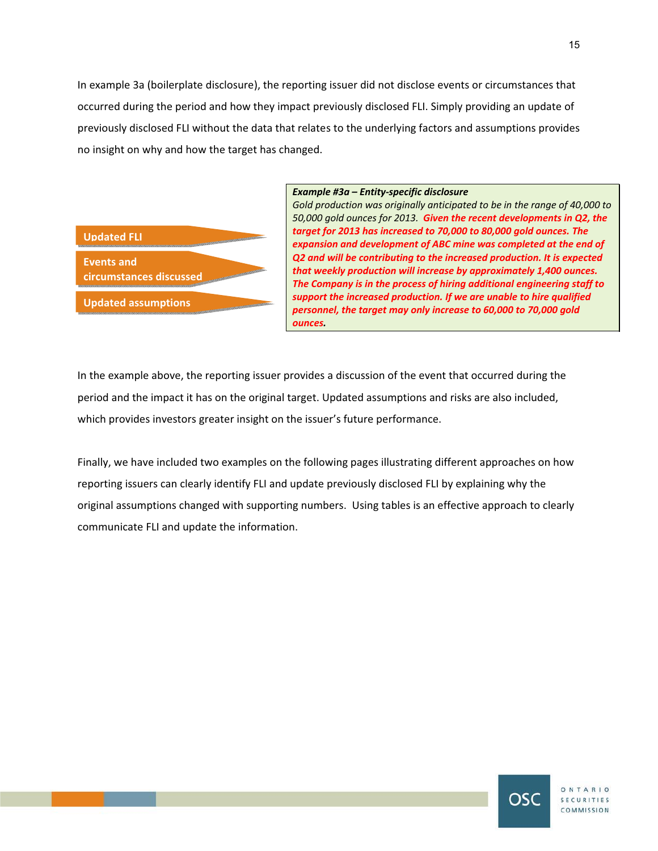In example 3a (boilerplate disclosure), the reporting issuer did not disclose events or circumstances that occurred during the period and how they impact previously disclosed FLI. Simply providing an update of previously disclosed FLI without the data that relates to the underlying factors and assumptions provides no insight on why and how the target has changed.

# **Updated FLI Events and circumstances discussed Updated assumptions**

#### *Example #3a – Entity-specific disclosure*

*Gold production was originally anticipated to be in the range of 40,000 to 50,000 gold ounces for 2013. Given the recent developments in Q2, the target for 2013 has increased to 70,000 to 80,000 gold ounces. The expansion and development of ABC mine was completed at the end of Q2 and will be contributing to the increased production. It is expected that weekly production will increase by approximately 1,400 ounces. The Company is in the process of hiring additional engineering staff to support the increased production. If we are unable to hire qualified personnel, the target may only increase to 60,000 to 70,000 gold ounces.*

In the example above, the reporting issuer provides a discussion of the event that occurred during the period and the impact it has on the original target. Updated assumptions and risks are also included, which provides investors greater insight on the issuer's future performance.

Finally, we have included two examples on the following pages illustrating different approaches on how reporting issuers can clearly identify FLI and update previously disclosed FLI by explaining why the original assumptions changed with supporting numbers. Using tables is an effective approach to clearly communicate FLI and update the information.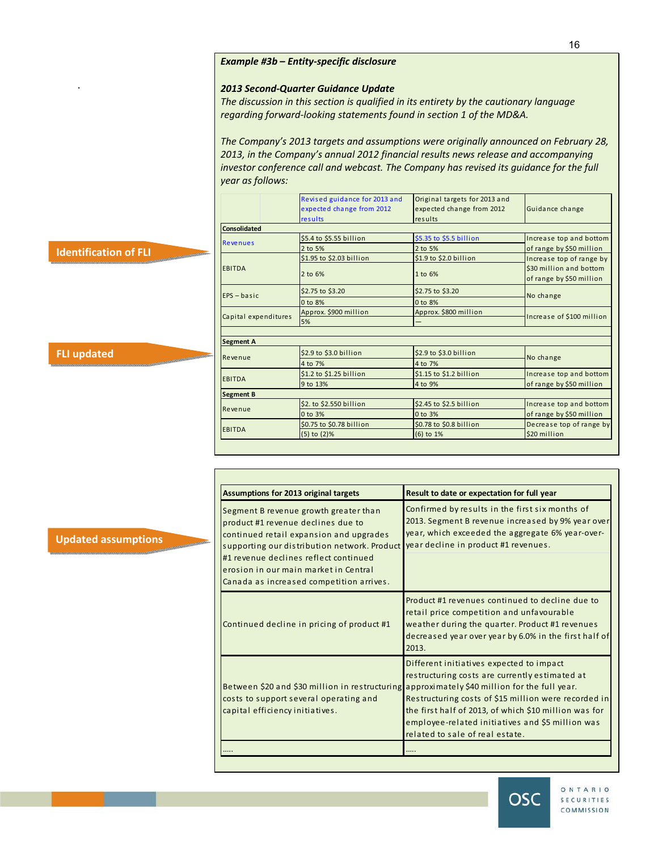## *Example #3b* **–** *Entity-specific disclosure*

#### *2013 Second-Quarter Guidance Update*

*The discussion in this section is qualified in its entirety by the cautionary language regarding forward-looking statements found in section 1 of the MD&A.* 

*The Company's 2013 targets and assumptions were originally announced on February 28, 2013, in the Company's annual 2012 financial results news release and accompanying investor conference call and webcast. The Company has revised its guidance for the full year as follows:* 

|                                                               |                      | Revised guidance for 2013 and<br>expected change from 2012<br>results | Original targets for 2013 and<br>expected change from 2012<br>results | Guidance change                                     |  |
|---------------------------------------------------------------|----------------------|-----------------------------------------------------------------------|-----------------------------------------------------------------------|-----------------------------------------------------|--|
|                                                               | Consolidated         |                                                                       |                                                                       |                                                     |  |
|                                                               | <b>Revenues</b>      | \$5.4 to \$5.55 billion                                               | \$5.35 to \$5.5 billion                                               | Increase top and bottom                             |  |
| <b>Identification of FLI</b>                                  |                      | 2 to 5%                                                               | 2 to 5%                                                               | of range by \$50 million                            |  |
| <b>CONTRACTORS</b>                                            |                      | \$1.95 to \$2.03 billion                                              | \$1.9 to \$2.0 billion                                                | Increase top of range by                            |  |
|                                                               | EBITDA               | 2 to 6%                                                               | 1 to 6%                                                               | \$30 million and bottom<br>of range by \$50 million |  |
|                                                               | $EPS - basic$        | \$2.75 to \$3.20                                                      | \$2.75 to \$3.20                                                      | No change                                           |  |
|                                                               |                      | 0 to 8%                                                               | 0 to 8%                                                               |                                                     |  |
|                                                               | Capital expenditures | Approx. \$900 million                                                 | Approx. \$800 million                                                 | Increase of \$100 million                           |  |
|                                                               |                      | 5%                                                                    |                                                                       |                                                     |  |
|                                                               |                      |                                                                       |                                                                       |                                                     |  |
|                                                               |                      | Segment A                                                             |                                                                       |                                                     |  |
| <b>FLI updated</b><br><b>STATISTICS</b> IN THE REAL PROPERTY. | Revenue              | \$2.9 to \$3.0 billion                                                | \$2.9 to \$3.0 billion                                                | No change                                           |  |
|                                                               |                      | 4 to 7%                                                               | 4 to 7%                                                               |                                                     |  |
|                                                               | EBITDA               | $$1.2$ to $$1.25$ billion                                             | $$1.15$ to $$1.2$ billion                                             | Increase top and bottom                             |  |
|                                                               |                      | 9 to 13%                                                              | 4 to 9%                                                               | of range by \$50 million                            |  |
|                                                               | Segment B            |                                                                       |                                                                       |                                                     |  |
|                                                               | <b>Revenue</b>       | \$2. to \$2.550 billion                                               | \$2.45 to \$2.5 billion                                               | Increase top and bottom                             |  |
|                                                               |                      | 0 to 3%                                                               | 0 to 3%                                                               | of range by \$50 million                            |  |
|                                                               | EBITDA               | \$0.75 to \$0.78 billion                                              | \$0.78 to \$0.8 billion                                               | Decrease top of range by                            |  |
|                                                               |                      | $(5)$ to $(2)$ %                                                      | $(6)$ to 1%                                                           | \$20 million                                        |  |

| <b>Assumptions for 2013 original targets</b>                                                                                                                                                                                                                                                         | Result to date or expectation for full year                                                                                                                                                                                                                                                                                                         |
|------------------------------------------------------------------------------------------------------------------------------------------------------------------------------------------------------------------------------------------------------------------------------------------------------|-----------------------------------------------------------------------------------------------------------------------------------------------------------------------------------------------------------------------------------------------------------------------------------------------------------------------------------------------------|
| Segment B revenue growth greater than<br>product #1 revenue declines due to<br>continued retail expansion and upgrades<br>supporting our distribution network. Product<br>#1 revenue declines reflect continued<br>erosion in our main market in Central<br>Canada as increased competition arrives. | Confirmed by results in the first six months of<br>2013. Segment B revenue increased by 9% year over<br>year, which exceeded the aggregate 6% year-over-<br>year decline in product #1 revenues.                                                                                                                                                    |
| Continued decline in pricing of product #1                                                                                                                                                                                                                                                           | Product #1 revenues continued to decline due to<br>retail price competition and unfavourable<br>weather during the quarter. Product #1 revenues<br>decreased year over year by 6.0% in the first half of<br>2013.                                                                                                                                   |
| Between \$20 and \$30 million in restructuring<br>costs to support several operating and<br>capital efficiency initiatives.                                                                                                                                                                          | Different initiatives expected to impact<br>restructuring costs are currently estimated at<br>approximately \$40 million for the full year.<br>Restructuring costs of \$15 million were recorded in<br>the first half of 2013, of which \$10 million was for<br>employee-related initiatives and \$5 million was<br>related to sale of real estate. |
|                                                                                                                                                                                                                                                                                                      |                                                                                                                                                                                                                                                                                                                                                     |



ONTARIO SECURITIES COMMISSION

**Updated assumptions** 

.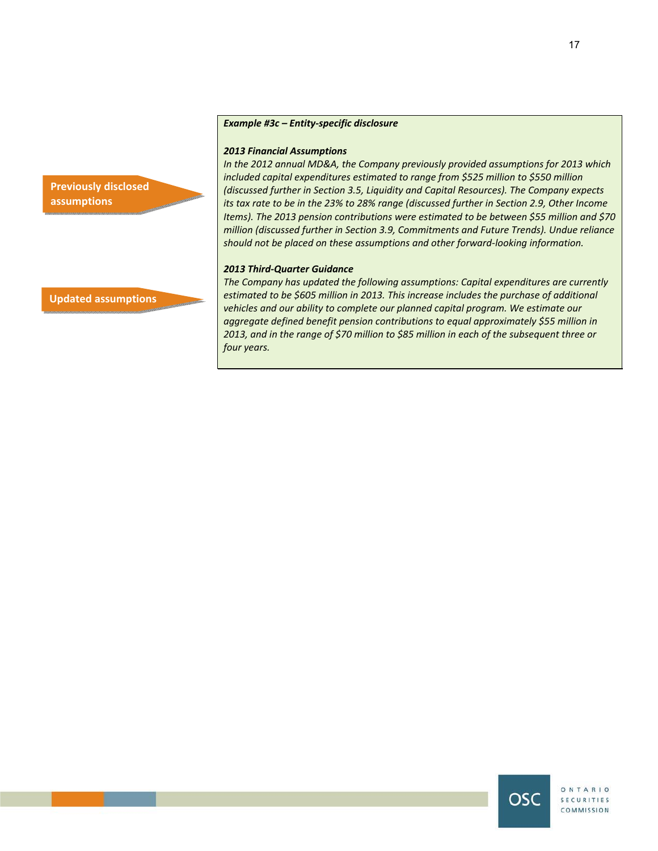## *Example #3c – Entity-specific disclosure*

#### *2013 Financial Assumptions*

*In the 2012 annual MD&A, the Company previously provided assumptions for 2013 which included capital expenditures estimated to range from \$525 million to \$550 million (discussed further in Section 3.5, Liquidity and Capital Resources). The Company expects its tax rate to be in the 23% to 28% range (discussed further in Section 2.9, Other Income Items). The 2013 pension contributions were estimated to be between \$55 million and \$70 million (discussed further in Section 3.9, Commitments and Future Trends). Undue reliance should not be placed on these assumptions and other forward-looking information.* 

#### *2013 Third-Quarter Guidance*

*The Company has updated the following assumptions: Capital expenditures are currently estimated to be \$605 million in 2013. This increase includes the purchase of additional vehicles and our ability to complete our planned capital program. We estimate our aggregate defined benefit pension contributions to equal approximately \$55 million in 2013, and in the range of \$70 million to \$85 million in each of the subsequent three or four years.*

**Updated assumptions** 

**Previously disclosed** 

**assumptions** 

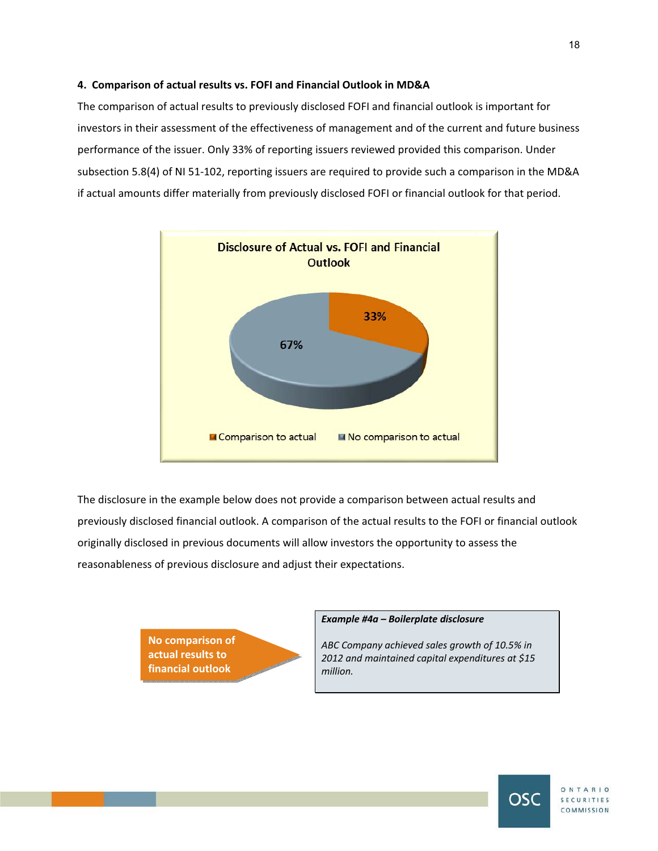## **4. Comparison of actual results vs. FOFI and Financial Outlook in MD&A**

The comparison of actual results to previously disclosed FOFI and financial outlook is important for investors in their assessment of the effectiveness of management and of the current and future business performance of the issuer. Only 33% of reporting issuers reviewed provided this comparison. Under subsection 5.8(4) of NI 51-102, reporting issuers are required to provide such a comparison in the MD&A if actual amounts differ materially from previously disclosed FOFI or financial outlook for that period.



The disclosure in the example below does not provide a comparison between actual results and previously disclosed financial outlook. A comparison of the actual results to the FOFI or financial outlook originally disclosed in previous documents will allow investors the opportunity to assess the reasonableness of previous disclosure and adjust their expectations.

> **No comparison of actual results to financial outlook**

#### *Example #4a – Boilerplate disclosure*

*ABC Company achieved sales growth of 10.5% in 2012 and maintained capital expenditures at \$15 million.*

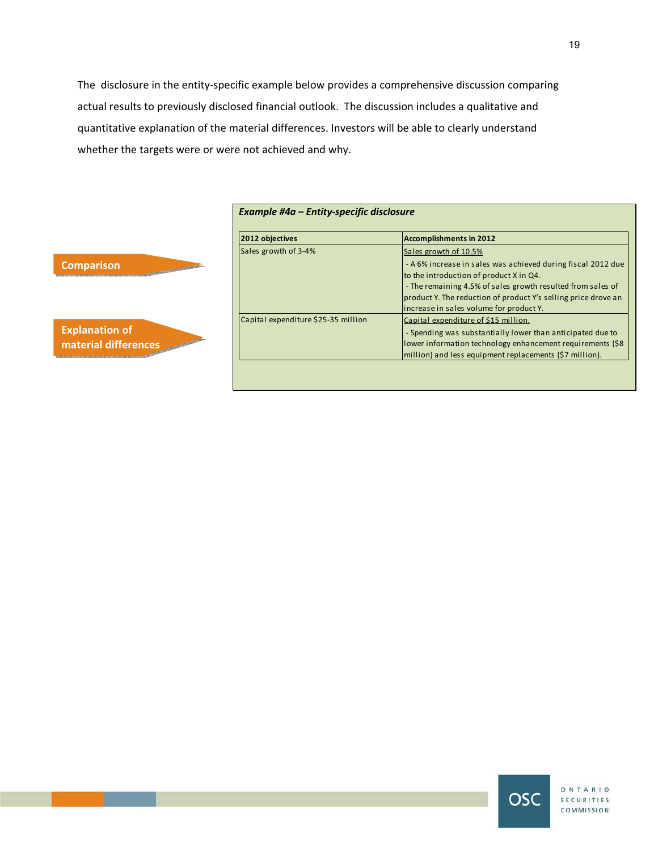The disclosure in the entity-specific example below provides a comprehensive discussion comparing actual results to previously disclosed financial outlook. The discussion includes a qualitative and quantitative explanation of the material differences. Investors will be able to clearly understand whether the targets were or were not achieved and why.

| 2012 objectives                     | Accomplishments in 2012                                                                                 |
|-------------------------------------|---------------------------------------------------------------------------------------------------------|
| Sales growth of 3-4%                | Sales growth of 10.5%                                                                                   |
|                                     | - A 6% increase in sales was achieved during fiscal 2012 due<br>to the introduction of product X in Q4. |
|                                     | - The remaining 4.5% of sales growth resulted from sales of                                             |
|                                     | product Y. The reduction of product Y's selling price drove an                                          |
|                                     | increase in sales volume for product Y.                                                                 |
| Capital expenditure \$25-35 million | Capital expenditure of \$15 million.                                                                    |
|                                     | - Spending was substantially lower than anticipated due to                                              |
|                                     | lower information technology enhancement requirements (\$8                                              |
|                                     | million) and less equipment replacements (\$7 million).                                                 |

## **Comparison**



| ONTARIO<br><b>SECURITIES</b><br>COMMISSION |
|--------------------------------------------|
|                                            |
|                                            |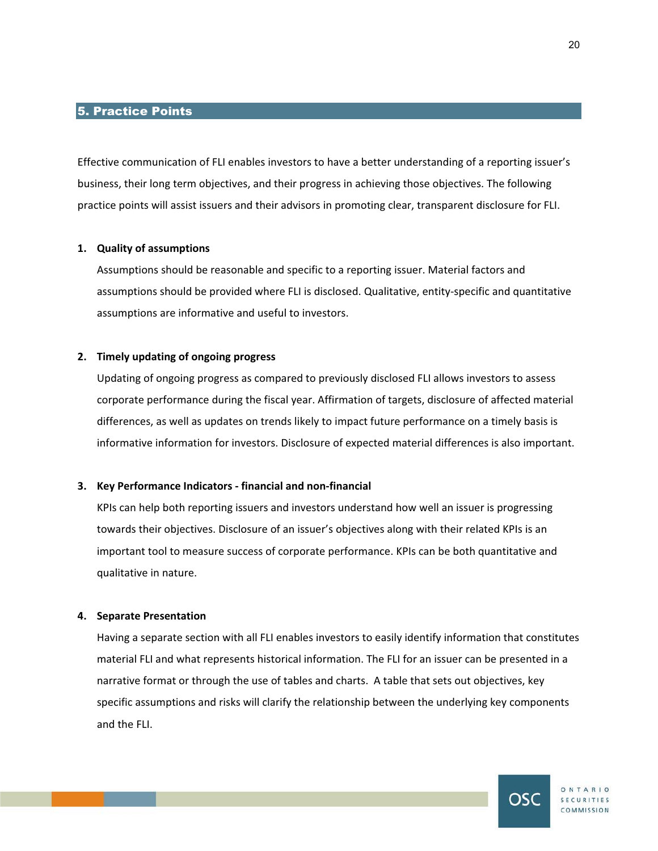## 5. Practice Points

Effective communication of FLI enables investors to have a better understanding of a reporting issuer's business, their long term objectives, and their progress in achieving those objectives. The following practice points will assist issuers and their advisors in promoting clear, transparent disclosure for FLI.

## **1. Quality of assumptions**

Assumptions should be reasonable and specific to a reporting issuer. Material factors and assumptions should be provided where FLI is disclosed. Qualitative, entity-specific and quantitative assumptions are informative and useful to investors.

## **2. Timely updating of ongoing progress**

Updating of ongoing progress as compared to previously disclosed FLI allows investors to assess corporate performance during the fiscal year. Affirmation of targets, disclosure of affected material differences, as well as updates on trends likely to impact future performance on a timely basis is informative information for investors. Disclosure of expected material differences is also important.

#### **3. Key Performance Indicators - financial and non-financial**

KPIs can help both reporting issuers and investors understand how well an issuer is progressing towards their objectives. Disclosure of an issuer's objectives along with their related KPIs is an important tool to measure success of corporate performance. KPIs can be both quantitative and qualitative in nature.

## **4. Separate Presentation**

Having a separate section with all FLI enables investors to easily identify information that constitutes material FLI and what represents historical information. The FLI for an issuer can be presented in a narrative format or through the use of tables and charts. A table that sets out objectives, key specific assumptions and risks will clarify the relationship between the underlying key components and the FLI.



ONTARIO SECURITIES COMMISSION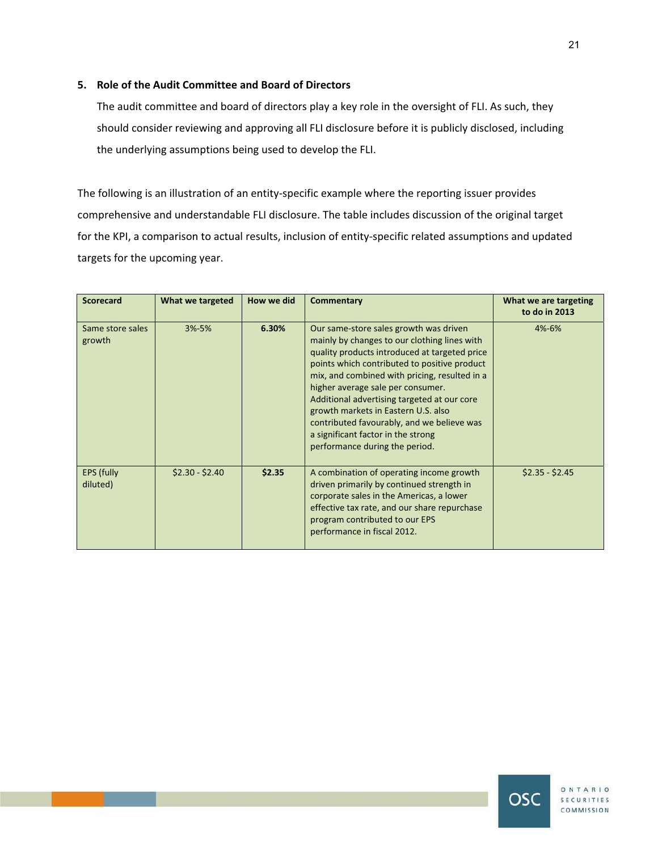## **5. Role of the Audit Committee and Board of Directors**

The audit committee and board of directors play a key role in the oversight of FLI. As such, they should consider reviewing and approving all FLI disclosure before it is publicly disclosed, including the underlying assumptions being used to develop the FLI.

The following is an illustration of an entity-specific example where the reporting issuer provides comprehensive and understandable FLI disclosure. The table includes discussion of the original target for the KPI, a comparison to actual results, inclusion of entity-specific related assumptions and updated targets for the upcoming year.

| <b>Scorecard</b>              | What we targeted | How we did | <b>Commentary</b>                                                                                                                                                                                                                                                                                                                                                                                                                                                                         | What we are targeting<br>to do in 2013 |
|-------------------------------|------------------|------------|-------------------------------------------------------------------------------------------------------------------------------------------------------------------------------------------------------------------------------------------------------------------------------------------------------------------------------------------------------------------------------------------------------------------------------------------------------------------------------------------|----------------------------------------|
| Same store sales<br>growth    | $3% - 5%$        | 6.30%      | Our same-store sales growth was driven<br>mainly by changes to our clothing lines with<br>quality products introduced at targeted price<br>points which contributed to positive product<br>mix, and combined with pricing, resulted in a<br>higher average sale per consumer.<br>Additional advertising targeted at our core<br>growth markets in Eastern U.S. also<br>contributed favourably, and we believe was<br>a significant factor in the strong<br>performance during the period. | 4%-6%                                  |
| <b>EPS (fully</b><br>diluted) | $$2.30 - $2.40$  | \$2.35     | A combination of operating income growth<br>driven primarily by continued strength in<br>corporate sales in the Americas, a lower<br>effective tax rate, and our share repurchase<br>program contributed to our EPS<br>performance in fiscal 2012.                                                                                                                                                                                                                                        | $$2.35 - $2.45$                        |



ONTARIO **SECURITIES** COMMISSION

OSC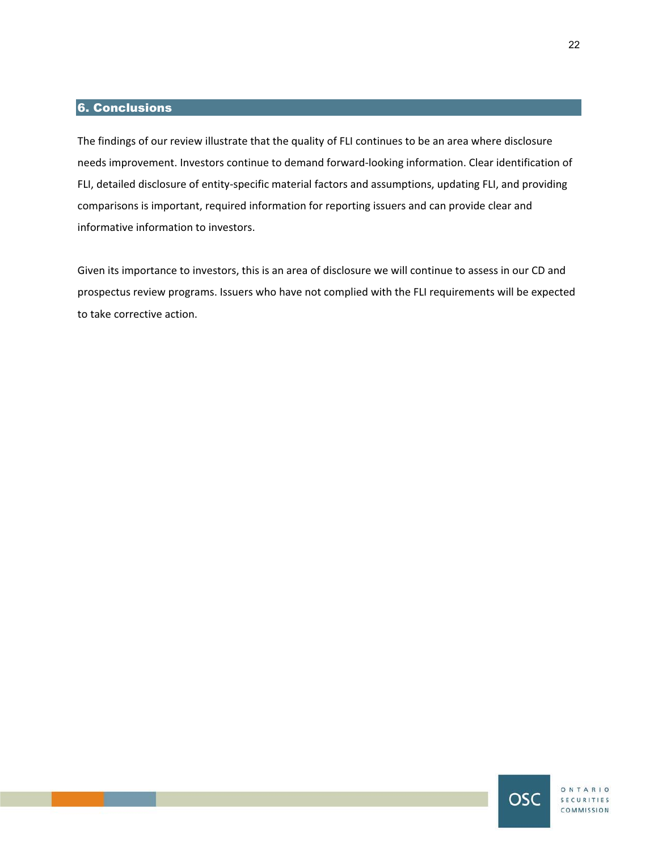## 6. Conclusions

The findings of our review illustrate that the quality of FLI continues to be an area where disclosure needs improvement. Investors continue to demand forward-looking information. Clear identification of FLI, detailed disclosure of entity-specific material factors and assumptions, updating FLI, and providing comparisons is important, required information for reporting issuers and can provide clear and informative information to investors.

Given its importance to investors, this is an area of disclosure we will continue to assess in our CD and prospectus review programs. Issuers who have not complied with the FLI requirements will be expected to take corrective action.



OSC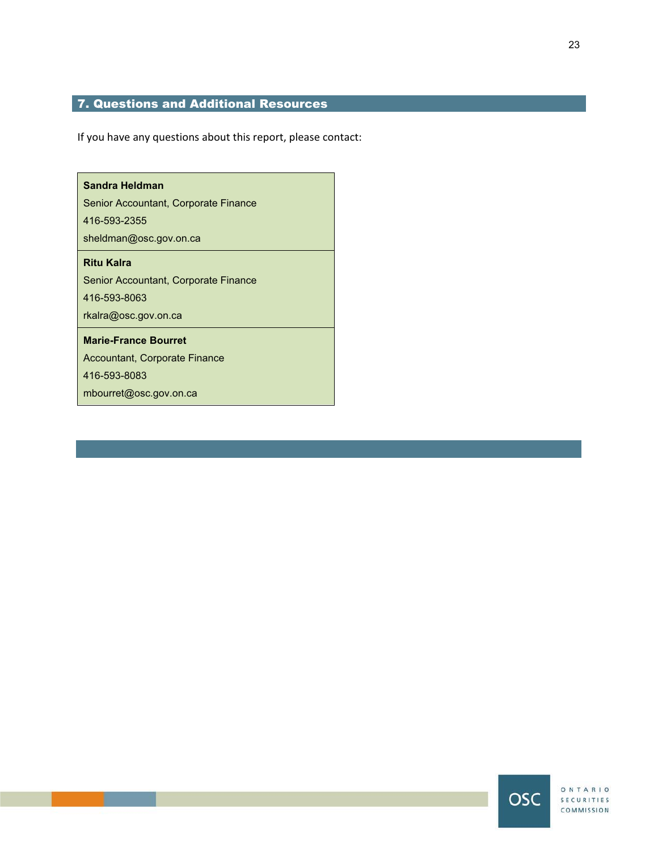## 7. Questions and Additional Resources

If you have any questions about this report, please contact:

# **Sandra Heldman**  Senior Accountant, Corporate Finance 416-593-2355 sheldman@osc.gov.on.ca **Ritu Kalra**  Senior Accountant, Corporate Finance 416-593-8063 rkalra@osc.gov.on.ca **Marie-France Bourret**  Accountant, Corporate Finance 416-593-8083 mbourret@osc.gov.on.ca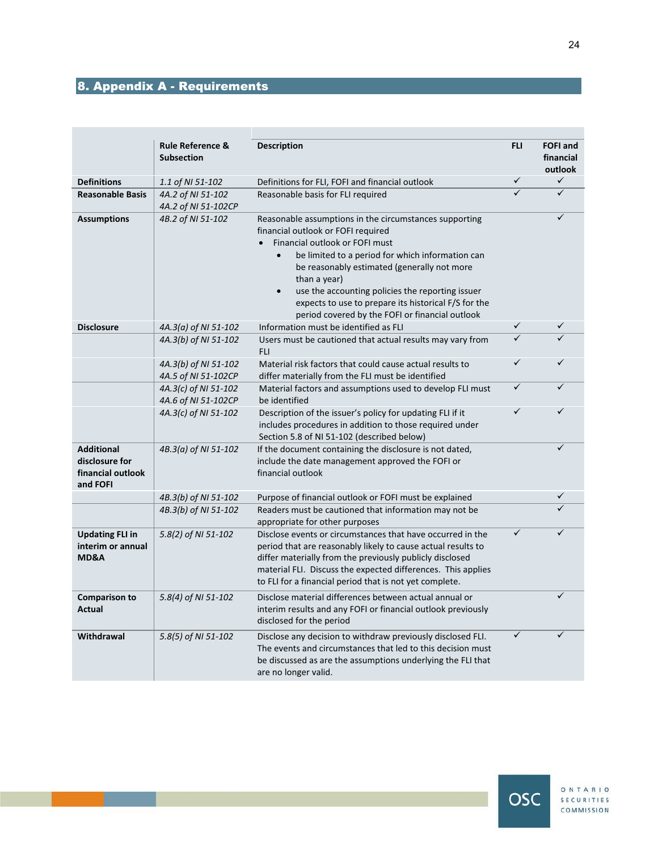# 8. Appendix A - Requirements

|                                                                      | <b>Rule Reference &amp;</b><br><b>Subsection</b> | <b>Description</b>                                                                                                                                                                                                                                                                                                                                                                                                                         | <b>FLI</b>              | <b>FOFI and</b><br>financial<br>outlook |  |
|----------------------------------------------------------------------|--------------------------------------------------|--------------------------------------------------------------------------------------------------------------------------------------------------------------------------------------------------------------------------------------------------------------------------------------------------------------------------------------------------------------------------------------------------------------------------------------------|-------------------------|-----------------------------------------|--|
| <b>Definitions</b>                                                   | 1.1 of NI 51-102                                 | Definitions for FLI, FOFI and financial outlook                                                                                                                                                                                                                                                                                                                                                                                            | ✓                       | $\checkmark$                            |  |
| <b>Reasonable Basis</b>                                              | 4A.2 of NI 51-102                                | Reasonable basis for FLI required                                                                                                                                                                                                                                                                                                                                                                                                          | $\overline{\checkmark}$ | $\overline{\checkmark}$                 |  |
|                                                                      | 4A.2 of NI 51-102CP                              |                                                                                                                                                                                                                                                                                                                                                                                                                                            |                         |                                         |  |
| <b>Assumptions</b>                                                   | 4B.2 of NI 51-102                                | Reasonable assumptions in the circumstances supporting<br>financial outlook or FOFI required<br>Financial outlook or FOFI must<br>$\bullet$<br>be limited to a period for which information can<br>be reasonably estimated (generally not more<br>than a year)<br>use the accounting policies the reporting issuer<br>$\bullet$<br>expects to use to prepare its historical F/S for the<br>period covered by the FOFI or financial outlook |                         |                                         |  |
| <b>Disclosure</b>                                                    | 4A.3(a) of NI 51-102                             | Information must be identified as FLI                                                                                                                                                                                                                                                                                                                                                                                                      | $\checkmark$            | ✓                                       |  |
|                                                                      | 4A.3(b) of NI 51-102                             | Users must be cautioned that actual results may vary from<br><b>FLI</b>                                                                                                                                                                                                                                                                                                                                                                    | ✓                       |                                         |  |
|                                                                      | 4A.3(b) of NI 51-102<br>4A.5 of NI 51-102CP      | Material risk factors that could cause actual results to<br>differ materially from the FLI must be identified                                                                                                                                                                                                                                                                                                                              |                         |                                         |  |
|                                                                      | 4A.3(c) of NI 51-102<br>4A.6 of NI 51-102CP      | Material factors and assumptions used to develop FLI must<br>be identified                                                                                                                                                                                                                                                                                                                                                                 | $\checkmark$            |                                         |  |
|                                                                      | 4A.3(c) of NI 51-102                             | Description of the issuer's policy for updating FLI if it<br>includes procedures in addition to those required under<br>Section 5.8 of NI 51-102 (described below)                                                                                                                                                                                                                                                                         | ✓                       | ✓                                       |  |
| <b>Additional</b><br>disclosure for<br>financial outlook<br>and FOFI | 4B.3(a) of NI 51-102                             | If the document containing the disclosure is not dated,<br>include the date management approved the FOFI or<br>financial outlook                                                                                                                                                                                                                                                                                                           |                         | ✓                                       |  |
|                                                                      | 4B.3(b) of NI 51-102                             | Purpose of financial outlook or FOFI must be explained                                                                                                                                                                                                                                                                                                                                                                                     |                         |                                         |  |
|                                                                      | 4B.3(b) of NI 51-102                             | Readers must be cautioned that information may not be<br>appropriate for other purposes                                                                                                                                                                                                                                                                                                                                                    |                         |                                         |  |
| <b>Updating FLI in</b><br>interim or annual<br>MD&A                  | 5.8(2) of NI 51-102                              | Disclose events or circumstances that have occurred in the<br>period that are reasonably likely to cause actual results to<br>differ materially from the previously publicly disclosed<br>material FLI. Discuss the expected differences. This applies<br>to FLI for a financial period that is not yet complete.                                                                                                                          | ✓                       | ✓                                       |  |
| <b>Comparison to</b><br>Actual                                       | 5.8(4) of NI 51-102                              | Disclose material differences between actual annual or<br>interim results and any FOFI or financial outlook previously<br>disclosed for the period                                                                                                                                                                                                                                                                                         |                         | ✓                                       |  |
| <b>Withdrawal</b>                                                    | 5.8(5) of NI 51-102                              | Disclose any decision to withdraw previously disclosed FLI.<br>The events and circumstances that led to this decision must<br>be discussed as are the assumptions underlying the FLI that<br>are no longer valid.                                                                                                                                                                                                                          | $\checkmark$            | ✓                                       |  |

ONTARIO **OSC** SECURITIES COMMISSION